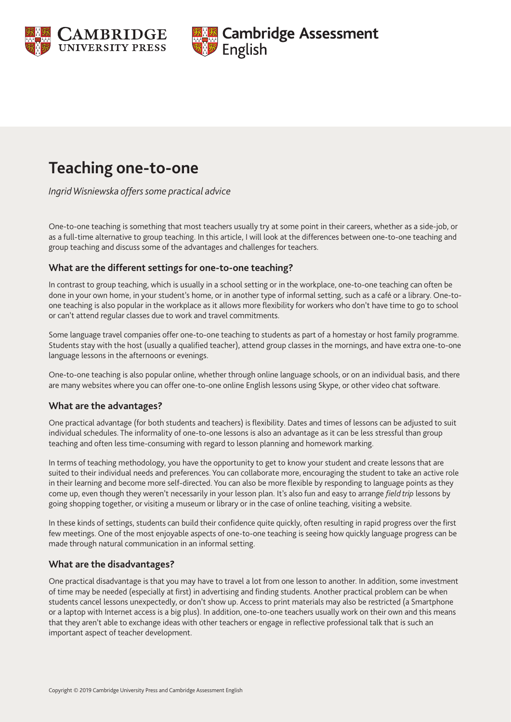



# **Teaching one-to-one**

*Ingrid Wisniewska offers some practical advice*

One-to-one teaching is something that most teachers usually try at some point in their careers, whether as a side-job, or as a full-time alternative to group teaching. In this article, I will look at the differences between one-to-one teaching and group teaching and discuss some of the advantages and challenges for teachers.

### **What are the different settings for one-to-one teaching?**

In contrast to group teaching, which is usually in a school setting or in the workplace, one-to-one teaching can often be done in your own home, in your student's home, or in another type of informal setting, such as a café or a library. One-toone teaching is also popular in the workplace as it allows more flexibility for workers who don't have time to go to school or can't attend regular classes due to work and travel commitments.

Some language travel companies offer one-to-one teaching to students as part of a homestay or host family programme. Students stay with the host (usually a qualified teacher), attend group classes in the mornings, and have extra one-to-one language lessons in the afternoons or evenings.

One-to-one teaching is also popular online, whether through online language schools, or on an individual basis, and there are many websites where you can offer one-to-one online English lessons using Skype, or other video chat software.

#### **What are the advantages?**

One practical advantage (for both students and teachers) is flexibility. Dates and times of lessons can be adjusted to suit individual schedules. The informality of one-to-one lessons is also an advantage as it can be less stressful than group teaching and often less time-consuming with regard to lesson planning and homework marking.

In terms of teaching methodology, you have the opportunity to get to know your student and create lessons that are suited to their individual needs and preferences. You can collaborate more, encouraging the student to take an active role in their learning and become more self-directed. You can also be more flexible by responding to language points as they come up, even though they weren't necessarily in your lesson plan. It's also fun and easy to arrange *field trip* lessons by going shopping together, or visiting a museum or library or in the case of online teaching, visiting a website.

In these kinds of settings, students can build their confidence quite quickly, often resulting in rapid progress over the first few meetings. One of the most enjoyable aspects of one-to-one teaching is seeing how quickly language progress can be made through natural communication in an informal setting.

#### **What are the disadvantages?**

One practical disadvantage is that you may have to travel a lot from one lesson to another. In addition, some investment of time may be needed (especially at first) in advertising and finding students. Another practical problem can be when students cancel lessons unexpectedly, or don't show up. Access to print materials may also be restricted (a Smartphone or a laptop with Internet access is a big plus). In addition, one-to-one teachers usually work on their own and this means that they aren't able to exchange ideas with other teachers or engage in reflective professional talk that is such an important aspect of teacher development.